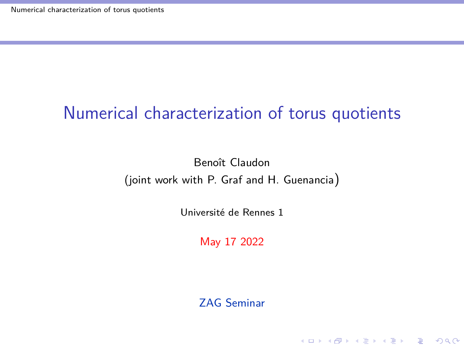### <span id="page-0-0"></span>Numerical characterization of torus quotients

Benoît Claudon (joint work with P. Graf and H. Guenancia)

Université de Rennes 1

May 17 2022

ZAG Seminar

K ロ ▶ K 個 ▶ K 할 ▶ K 할 ▶ 이 할 → 9 Q Q →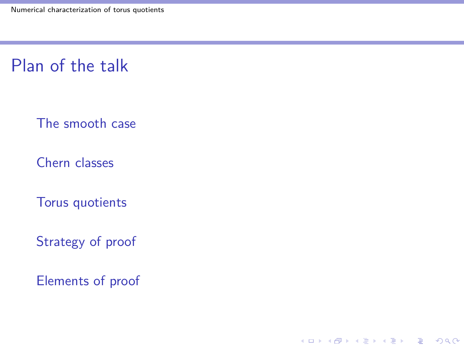Plan of the talk

[The smooth case](#page-2-0)

[Chern classes](#page-14-0)

[Torus quotients](#page-29-0)

[Strategy of proof](#page-31-0)

[Elements of proof](#page-41-0)

K ロ ▶ K @ ▶ K 할 ▶ K 할 ▶ 이 할 → 9 Q @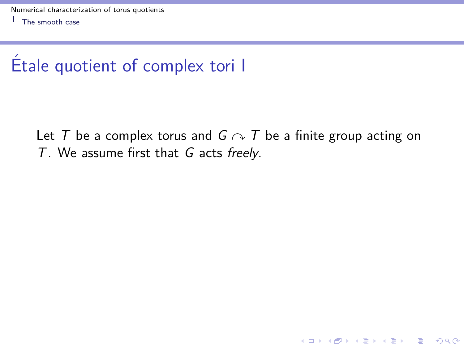<span id="page-2-0"></span>Let T be a complex torus and  $G \curvearrowright T$  be a finite group acting on T. We assume first that G acts freely.

**KORK ERKER ADAM ADA**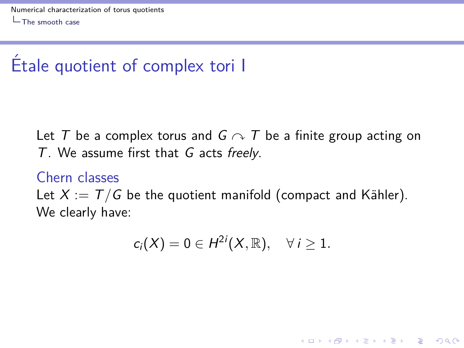Let T be a complex torus and  $G \curvearrowright T$  be a finite group acting on T. We assume first that G acts freely.

#### Chern classes

Let  $X := T/G$  be the quotient manifold (compact and Kähler). We clearly have:

$$
c_i(X)=0\in H^{2i}(X,\mathbb{R}),\quad \forall\,i\geq 1.
$$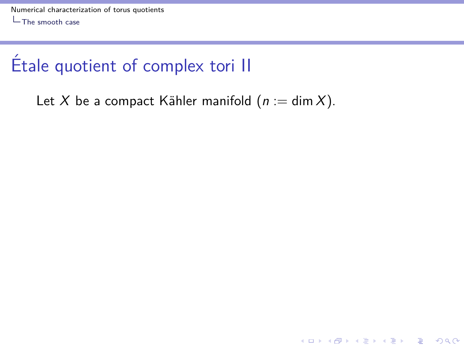Let X be a compact Kähler manifold  $(n := \dim X)$ .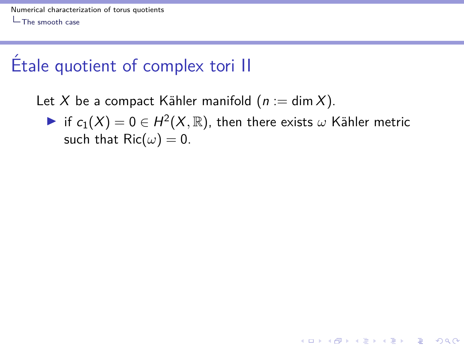Let X be a compact Kähler manifold  $(n := \dim X)$ .

 $\blacktriangleright$  if  $c_1(X) = 0 \in H^2(X, \mathbb{R})$ , then there exists  $\omega$  Kähler metric such that  $\text{Ric}(\omega) = 0$ .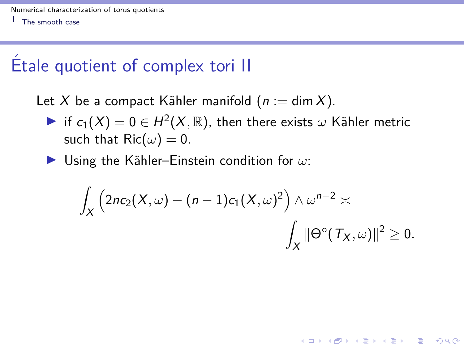Let X be a compact Kähler manifold  $(n := \dim X)$ .

- $\blacktriangleright$  if  $c_1(X) = 0 \in H^2(X, \mathbb{R})$ , then there exists  $\omega$  Kähler metric such that  $\text{Ric}(\omega) = 0$ .
- I Using the K¨ahler–Einstein condition for *ω*:

$$
\int_X \left(2nc_2(X,\omega)-(n-1)c_1(X,\omega)^2\right)\wedge\omega^{n-2}\asymp \int_X \|\Theta^\circ(\mathcal{T}_X,\omega)\|^2\geq 0.
$$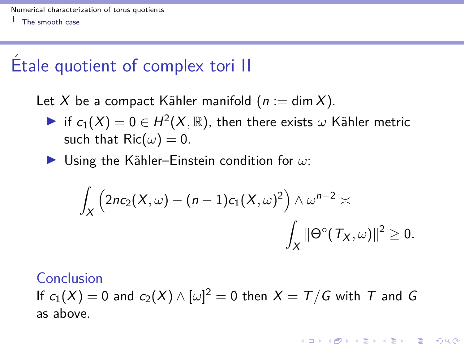Let X be a compact Kähler manifold  $(n := \dim X)$ .

- $\blacktriangleright$  if  $c_1(X) = 0 \in H^2(X, \mathbb{R})$ , then there exists  $\omega$  Kähler metric such that  $\text{Ric}(\omega) = 0$ .
- I Using the K¨ahler–Einstein condition for *ω*:

$$
\int_X \left(2nc_2(X,\omega)-(n-1)c_1(X,\omega)^2\right) \wedge \omega^{n-2} \asymp
$$

$$
\int_X \|\Theta^\circ(\mathcal{T}_X,\omega)\|^2 \ge 0.
$$

**KORKAR KERKER SAGA** 

#### Conclusion

If  $c_1(X)=0$  and  $c_2(X)\wedge [\omega]^2=0$  then  $X=\mathcal{T}/\mathcal{G}$  with  $\mathcal T$  and  $\mathcal G$ as above.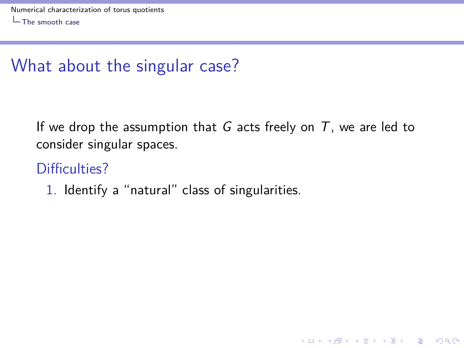If we drop the assumption that G acts freely on  $T$ , we are led to consider singular spaces.

**KORK ERKER ADAM ADA** 

### Difficulties?

1. Identify a "natural" class of singularities.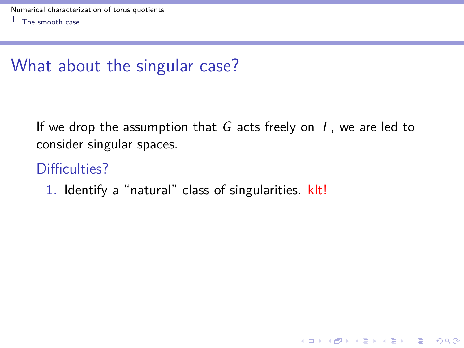If we drop the assumption that G acts freely on  $T$ , we are led to consider singular spaces.

**KORK ERKER ADAM ADA** 

### Difficulties?

1. Identify a "natural" class of singularities. klt!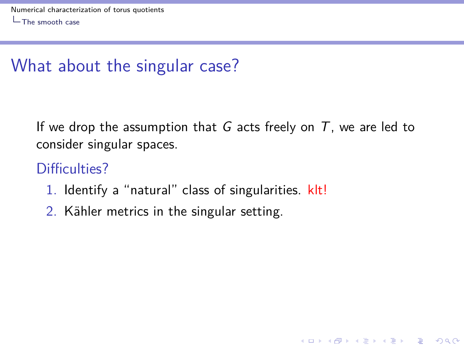If we drop the assumption that G acts freely on  $T$ , we are led to consider singular spaces.

K ロ ▶ K 個 ▶ K 할 ▶ K 할 ▶ 이 할 → 이익 @

### Difficulties?

- 1. Identify a "natural" class of singularities. klt!
- 2. Kähler metrics in the singular setting.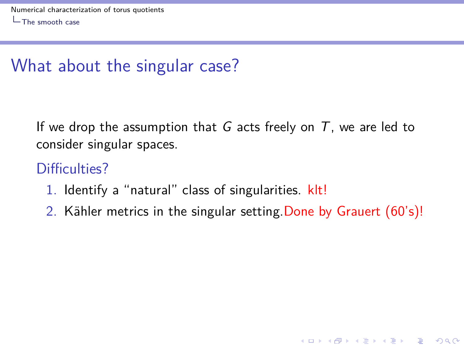If we drop the assumption that G acts freely on  $T$ , we are led to consider singular spaces.

### Difficulties?

- 1. Identify a "natural" class of singularities. klt!
- 2. Kähler metrics in the singular setting. Done by Grauert (60's)!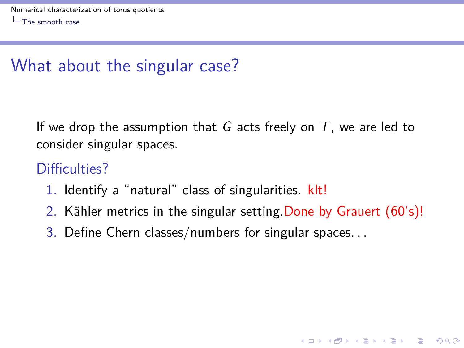If we drop the assumption that G acts freely on  $T$ , we are led to consider singular spaces.

### Difficulties?

- 1. Identify a "natural" class of singularities. klt!
- 2. Kähler metrics in the singular setting. Done by Grauert (60's)!

**KORKARYKERKER OQO** 

3. Define Chern classes/numbers for singular spaces. . .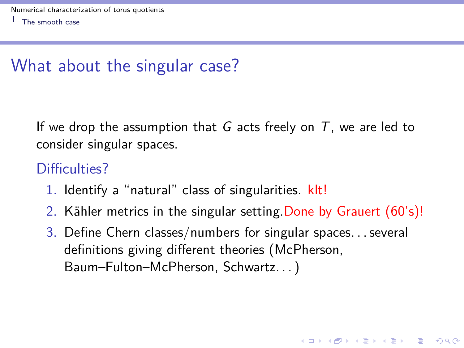If we drop the assumption that G acts freely on  $T$ , we are led to consider singular spaces.

### Difficulties?

- 1. Identify a "natural" class of singularities. klt!
- 2. Kähler metrics in the singular setting. Done by Grauert (60's)!
- 3. Define Chern classes/numbers for singular spaces... several definitions giving different theories (McPherson, Baum–Fulton–McPherson, Schwartz. . . )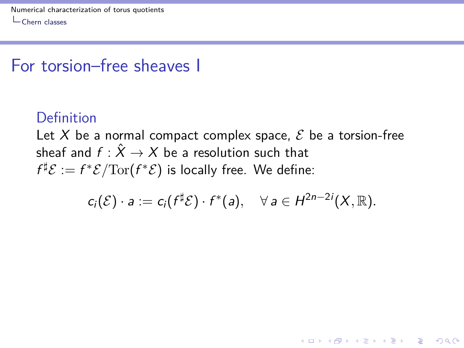### <span id="page-14-0"></span>For torsion–free sheaves I

### Definition

Let X be a normal compact complex space,  $\mathcal E$  be a torsion-free sheaf and  $f : \hat{X} \to X$  be a resolution such that  $f^\sharp \mathcal{E} := f^* \mathcal{E} / \mathrm{Tor}(f^* \mathcal{E})$  is locally free. We define:

$$
c_i(\mathcal{E}) \cdot a := c_i(f^{\sharp}\mathcal{E}) \cdot f^*(a), \quad \forall \, a \in H^{2n-2i}(X,\mathbb{R}).
$$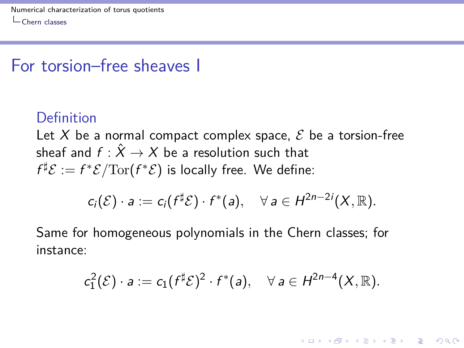### For torsion–free sheaves I

#### Definition

Let X be a normal compact complex space,  $\mathcal E$  be a torsion-free sheaf and  $f : \hat{X} \to X$  be a resolution such that  $f^\sharp \mathcal{E} := f^* \mathcal{E} / \mathrm{Tor}(f^* \mathcal{E})$  is locally free. We define:

$$
c_i(\mathcal{E}) \cdot a := c_i(f^{\sharp} \mathcal{E}) \cdot f^*(a), \quad \forall \ a \in H^{2n-2i}(X,\mathbb{R}).
$$

Same for homogeneous polynomials in the Chern classes; for instance:

$$
c_1^2(\mathcal{E}) \cdot a := c_1(f^{\sharp}\mathcal{E})^2 \cdot f^*(a), \quad \forall \ a \in H^{2n-4}(X,\mathbb{R}).
$$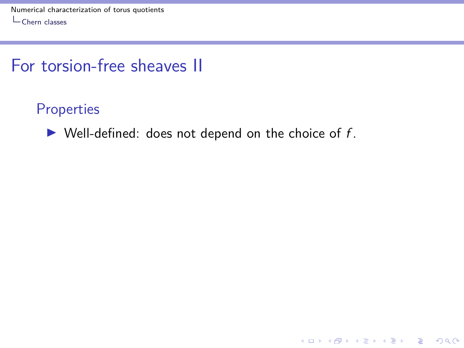### For torsion-free sheaves II

#### **Properties**

 $\blacktriangleright$  Well-defined: does not depend on the choice of f.

KOKK@KKEKKEK E 1990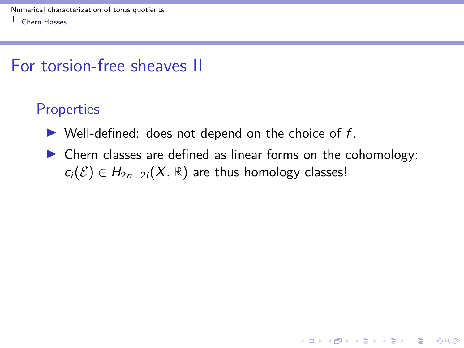### For torsion-free sheaves II

#### **Properties**

- $\blacktriangleright$  Well-defined: does not depend on the choice of f.
- $\triangleright$  Chern classes are defined as linear forms on the cohomology:  $c_i(\mathcal{E}) \in H_{2n-2i}(X,\mathbb{R})$  are thus homology classes!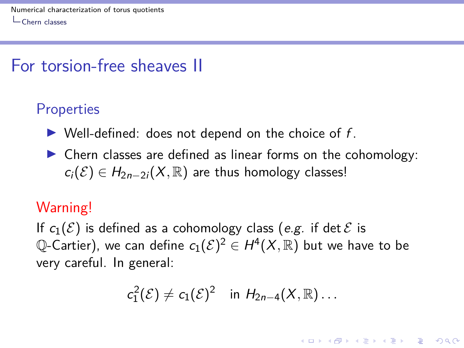### For torsion-free sheaves II

#### **Properties**

- $\triangleright$  Well-defined: does not depend on the choice of f.
- $\triangleright$  Chern classes are defined as linear forms on the cohomology:  $c_i(\mathcal{E}) \in H_{2n-2i}(X,\mathbb{R})$  are thus homology classes!

#### Warning!

If  $c_1(\mathcal{E})$  is defined as a cohomology class (e.g. if det  $\mathcal E$  is  ${\mathbb Q}$ -Cartier), we can define  $c_1({\mathcal E})^2 \in H^4(X,{\mathbb R})$  but we have to be very careful. In general:

$$
c_1^2(\mathcal{E}) \neq c_1(\mathcal{E})^2 \quad \text{in } H_{2n-4}(X,\mathbb{R})\ldots
$$

**KORKAR KERKER SAGA**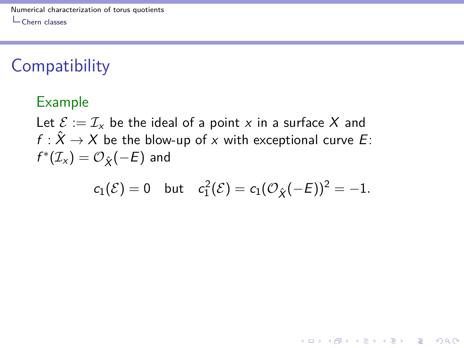### **Compatibility**

#### Example

Let  $\mathcal{E} := \mathcal{I}_x$  be the ideal of a point x in a surface X and  $f: \hat{X} \to X$  be the blow-up of x with exceptional curve E:  $f^*(\mathcal{I}_{\mathsf{x}}) = \mathcal{O}_{\hat{\mathsf{X}}}(-E)$  and

$$
c_1(\mathcal{E}) = 0
$$
 but  $c_1^2(\mathcal{E}) = c_1(\mathcal{O}_{\hat{X}}(-E))^2 = -1$ .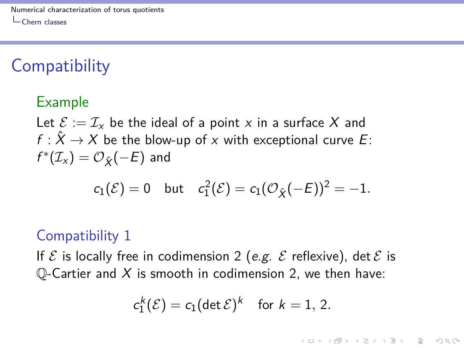### **Compatibility**

#### Example

Let  $\mathcal{E} := \mathcal{I}_{x}$  be the ideal of a point x in a surface X and  $f: \hat{X} \to X$  be the blow-up of x with exceptional curve E:  $f^*(\mathcal{I}_{\mathsf{x}}) = \mathcal{O}_{\hat{\mathsf{X}}}(-E)$  and

$$
c_1(\mathcal{E})=0 \quad \text{but} \quad c_1^2(\mathcal{E})=c_1(\mathcal{O}_{\hat{X}}(-E))^2=-1.
$$

#### Compatibility 1

If  $\mathcal E$  is locally free in codimension 2 (e.g.  $\mathcal E$  reflexive), det  $\mathcal E$  is Q-Cartier and  $X$  is smooth in codimension 2, we then have:

$$
c_1^k(\mathcal{E}) = c_1(\det \mathcal{E})^k \quad \text{for } k = 1, 2.
$$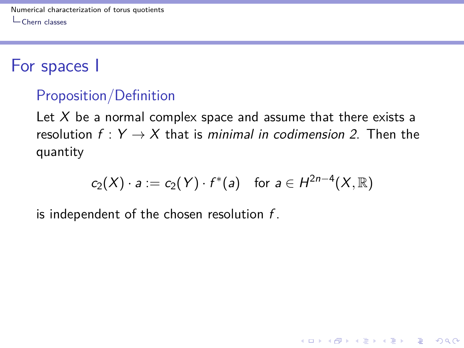### For spaces I

### Proposition/Definition

Let  $X$  be a normal complex space and assume that there exists a resolution  $f: Y \rightarrow X$  that is minimal in codimension 2. Then the quantity

$$
c_2(X) \cdot a := c_2(Y) \cdot f^*(a) \quad \text{for } a \in H^{2n-4}(X, \mathbb{R})
$$

**KORKARYKERKER OQO** 

is independent of the chosen resolution  $f$ .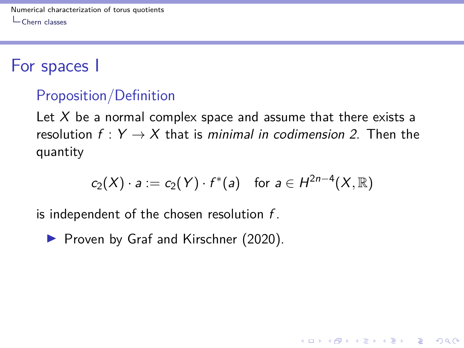### For spaces I

### Proposition/Definition

Let  $X$  be a normal complex space and assume that there exists a resolution  $f: Y \rightarrow X$  that is minimal in codimension 2. Then the quantity

$$
c_2(X) \cdot a := c_2(Y) \cdot f^*(a) \quad \text{for } a \in H^{2n-4}(X, \mathbb{R})
$$

**KORKARYKERKER OQO** 

is independent of the chosen resolution  $f$ .

▶ Proven by Graf and Kirschner (2020).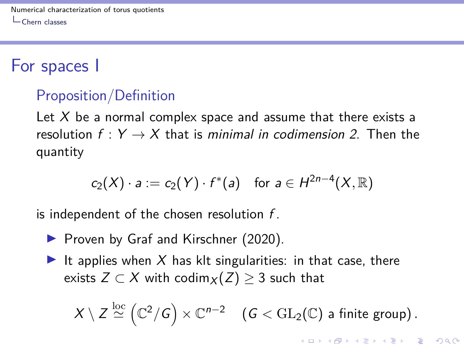### For spaces I

### Proposition/Definition

Let  $X$  be a normal complex space and assume that there exists a resolution  $f: Y \rightarrow X$  that is minimal in codimension 2. Then the quantity

$$
c_2(X) \cdot a := c_2(Y) \cdot f^*(a) \quad \text{for } a \in H^{2n-4}(X, \mathbb{R})
$$

is independent of the chosen resolution  $f$ .

- ▶ Proven by Graf and Kirschner (2020).
- It applies when X has klt singularities: in that case, there exists  $Z \subset X$  with codim $X(Z) \geq 3$  such that

$$
X\setminus Z \stackrel{\mathrm{loc}}{\simeq} \left(\mathbb{C}^2/G\right) \times \mathbb{C}^{n-2} \quad \left(G < \mathrm{GL}_2(\mathbb{C}) \text{ a finite group}\right).
$$

**KORKAR KERKER SAGA**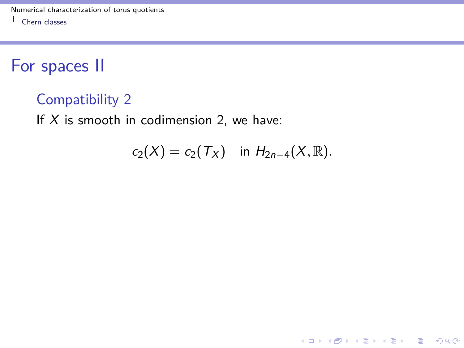### For spaces II

#### Compatibility 2

If  $X$  is smooth in codimension 2, we have:

$$
c_2(X) = c_2(T_X) \text{ in } H_{2n-4}(X, \mathbb{R}).
$$

K ロ ▶ K @ ▶ K 할 ▶ K 할 ▶ | 할 | © 9 Q @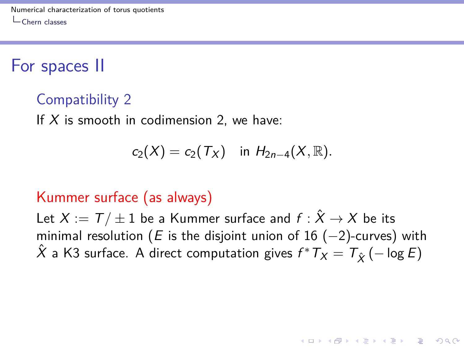For spaces II

#### Compatibility 2

If  $X$  is smooth in codimension 2, we have:

$$
c_2(X)=c_2(\mathcal{T}_X) \quad \text{in } H_{2n-4}(X,\mathbb{R}).
$$

#### Kummer surface (as always)

Let  $X := T / \pm 1$  be a Kummer surface and  $f : \hat{X} \to X$  be its minimal resolution (E is the disjoint union of 16 ( $-2$ )-curves) with  $\hat{X}$  a K3 surface. A direct computation gives  $f^* \, \mathcal{T}_X = \, \mathcal{T}_{\hat{X}} \bigl( - \log E \bigr)$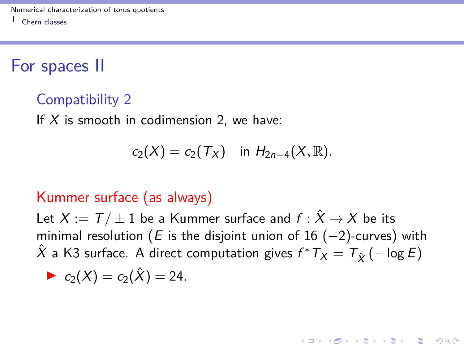For spaces II

#### Compatibility 2

If  $X$  is smooth in codimension 2, we have:

$$
c_2(X)=c_2(\mathcal{T}_X) \quad \text{in } H_{2n-4}(X,\mathbb{R}).
$$

#### Kummer surface (as always)

Let  $X := T / \pm 1$  be a Kummer surface and  $f : \hat{X} \to X$  be its minimal resolution (E is the disjoint union of 16 ( $-2$ )-curves) with  $\hat{X}$  a K3 surface. A direct computation gives  $f^* \, \mathcal{T}_X = \, \mathcal{T}_{\hat{X}} \bigl( - \log E \bigr)$ 

$$
c_2(X)=c_2(\hat{X})=24.
$$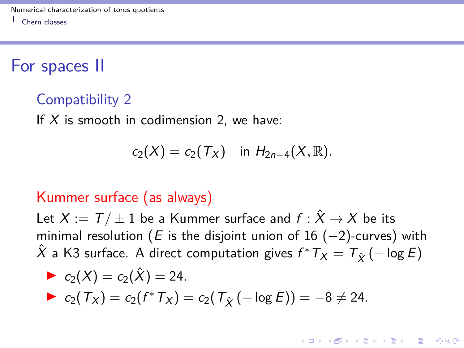For spaces II

#### Compatibility 2

If  $X$  is smooth in codimension 2, we have:

$$
c_2(X)=c_2(\mathcal{T}_X) \quad \text{in } H_{2n-4}(X,\mathbb{R}).
$$

#### Kummer surface (as always)

Let  $X := T / \pm 1$  be a Kummer surface and  $f : \hat{X} \to X$  be its minimal resolution (E is the disjoint union of 16 ( $-2$ )-curves) with  $\hat{X}$  a K3 surface. A direct computation gives  $f^* \, \mathcal{T}_X = \, \mathcal{T}_{\hat{X}} \bigl( - \log E \bigr)$ 

► 
$$
c_2(X) = c_2(\hat{X}) = 24
$$
.  
\n►  $c_2(T_X) = c_2(f^*T_X) = c_2(T_{\hat{X}}(-\log E)) = -8 \neq 24$ .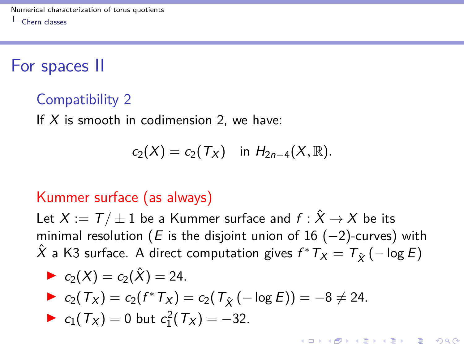For spaces II

#### Compatibility 2

If  $X$  is smooth in codimension 2, we have:

$$
c_2(X)=c_2(\mathcal{T}_X) \quad \text{in } H_{2n-4}(X,\mathbb{R}).
$$

#### Kummer surface (as always)

Let  $X := T / \pm 1$  be a Kummer surface and  $f : \hat{X} \to X$  be its minimal resolution (E is the disjoint union of 16 ( $-2$ )-curves) with  $\hat{X}$  a K3 surface. A direct computation gives  $f^* \, \mathcal{T}_X = \, \mathcal{T}_{\hat{X}} \bigl( - \log E \bigr)$ 

► 
$$
c_2(X) = c_2(\hat{X}) = 24
$$
.  
\n►  $c_2(T_X) = c_2(f^*T_X) = c_2(T_{\hat{X}}(-\log E)) = -8 \neq 24$ .  
\n►  $c_1(T_X) = 0$  but  $c_1^2(T_X) = -32$ .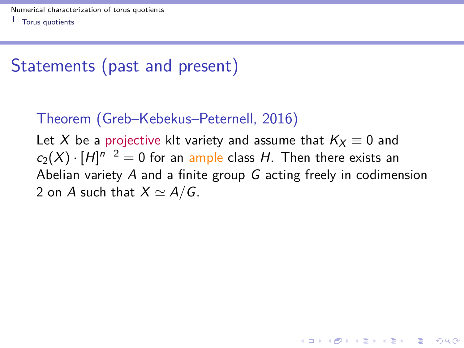# <span id="page-29-0"></span>Statements (past and present)

### Theorem (Greb–Kebekus–Peternell, 2016)

Let X be a projective klt variety and assume that  $K_X \equiv 0$  and  $c_2(X) \cdot [H]^{n-2} = 0$  for an ample class H. Then there exists an Abelian variety A and a finite group G acting freely in codimension 2 on A such that  $X \simeq A/G$ .

**KORKAR KERKER SAGA**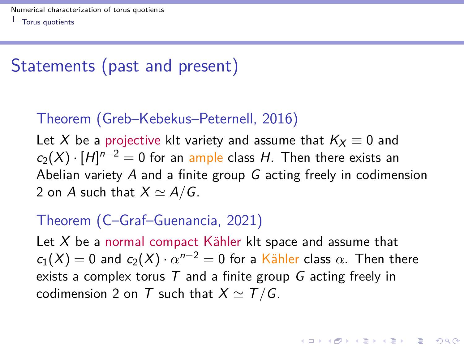### <span id="page-30-0"></span>Statements (past and present)

### Theorem (Greb–Kebekus–Peternell, 2016)

Let X be a projective klt variety and assume that  $K_X \equiv 0$  and  $c_2(X) \cdot [H]^{n-2} = 0$  for an ample class H. Then there exists an Abelian variety A and a finite group G acting freely in codimension 2 on A such that  $X \simeq A/G$ .

#### Theorem (C–Graf–Guenancia, 2021)

Let  $X$  be a normal compact Kähler klt space and assume that  $c_1(X)=0$  and  $c_2(X)\cdot \alpha^{n-2}=0$  for a Kähler class  $\alpha.$  Then there exists a complex torus  $T$  and a finite group G acting freely in codimension 2 on T such that  $X \simeq T/G$ .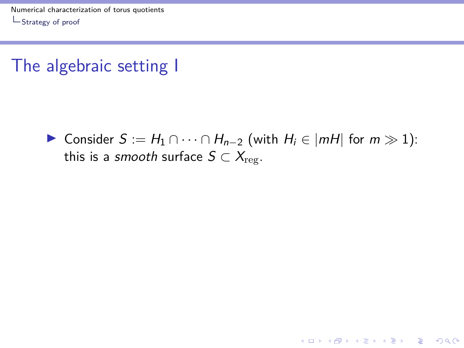### <span id="page-31-0"></span>The algebraic setting I



K ロ ▶ K 個 ▶ K 할 ▶ K 할 ▶ 이 할 → 9 Q Q →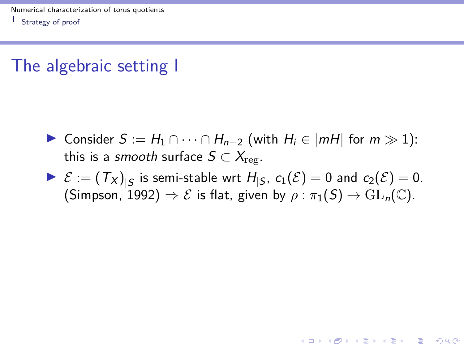## The algebraic setting I

- $\triangleright$  Consider  $S := H_1 \cap \cdots \cap H_{n-2}$  (with  $H_i \in |mH|$  for  $m \gg 1$ ): this is a smooth surface  $S \subset X_{\text{res}}$ .
- $\blacktriangleright$   $\mathcal{E} := (\mathcal{T}_X)_{|S}$  is semi-stable wrt  $H_{|S}$ ,  $c_1(\mathcal{E}) = 0$  and  $c_2(\mathcal{E}) = 0$ . (Simpson, 1992)  $\Rightarrow \mathcal{E}$  is flat, given by  $\rho : \pi_1(S) \to GL_n(\mathbb{C})$ .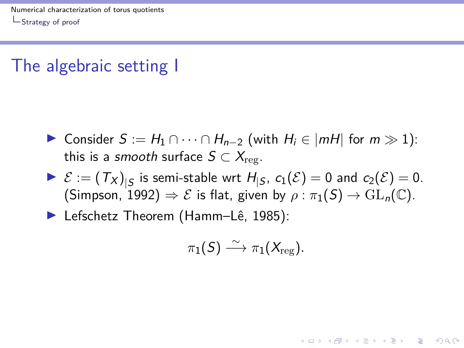# <span id="page-33-0"></span>The algebraic setting I

- $\triangleright$  Consider  $S := H_1 \cap \cdots \cap H_{n-2}$  (with  $H_i \in |mH|$  for  $m \gg 1$ ): this is a smooth surface  $S \subset X_{\text{rev}}$ .
- $\blacktriangleright$   $\mathcal{E} := (\mathcal{T}_X)_{|S}$  is semi-stable wrt  $H_{|S}$ ,  $c_1(\mathcal{E}) = 0$  and  $c_2(\mathcal{E}) = 0$ . (Simpson, 1992)  $\Rightarrow \mathcal{E}$  is flat, given by  $\rho : \pi_1(S) \to GL_n(\mathbb{C})$ .

► Lefschetz Theorem (Hamm–Lê, 1985):

$$
\pi_1(S) \stackrel{\sim}{\longrightarrow} \pi_1(X_{\text{reg}}).
$$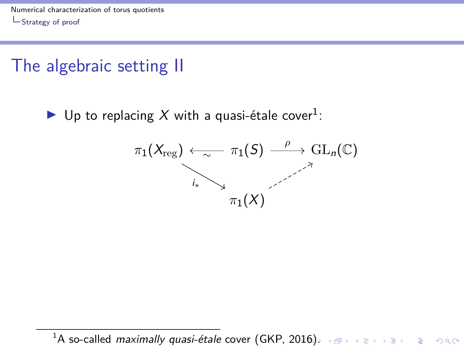## <span id="page-34-0"></span>The algebraic setting II

▶ Up to replacing X with a quasi-étale cover<sup>1</sup>:



<sup>1</sup>A so-called *maximally quasi-étale* cover (GKP, 2[016](#page-33-0)[\).](#page-35-0)  $\longleftrightarrow$   $\longleftrightarrow$   $\longleftrightarrow$   $\longleftrightarrow$   $\Rightarrow$   $\longleftrightarrow$   $\Rightarrow$   $\circ$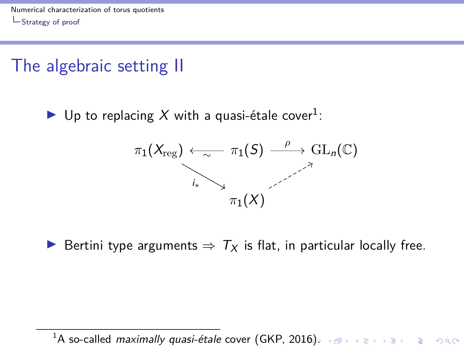## <span id="page-35-0"></span>The algebraic setting II

▶ Up to replacing X with a quasi-étale cover<sup>1</sup>:



► Bertini type arguments  $\Rightarrow T_X$  is flat, in particular locally free.

 $1A$  so-called *maximally quasi-étale* cover (GKP, 2[016](#page-34-0)[\).](#page-36-0)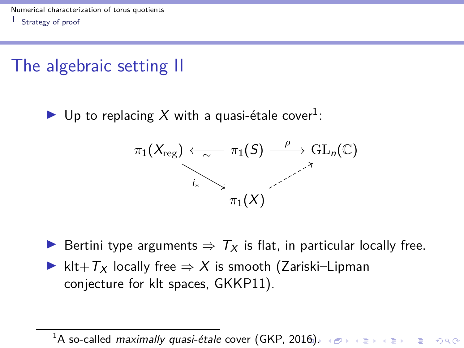# <span id="page-36-0"></span>The algebraic setting II

▶ Up to replacing X with a quasi-étale cover<sup>1</sup>:



**►** Bertini type arguments  $\Rightarrow T_x$  is flat, in particular locally free.

► klt+ $T_X$  locally free  $\Rightarrow$  X is smooth (Zariski–Lipman conjecture for klt spaces, GKKP11).

 $1A$  so-called *maximally quasi-étale* cover (GKP, 2[016](#page-35-0)[\).](#page-37-0)  $\overline{AB}$  and  $\overline{AB}$  and  $\overline{BC}$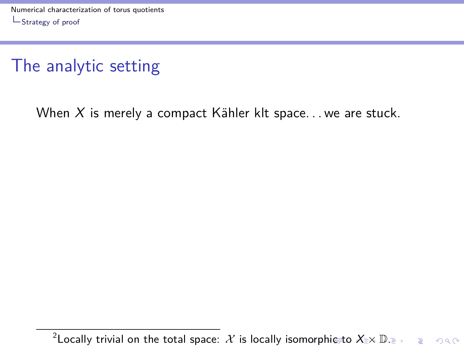<span id="page-37-0"></span>When X is merely a compact Kähler klt space... we are stuck.

 $^2$ Lo[c](#page-37-0)ally [t](#page-40-0)rivial [o](#page-41-0)n the total space:  $\mathcal X$  $\mathcal X$  is locally is[om](#page-36-0)o[rp](#page-38-0)[hi](#page-36-0)c to  $\mathsf X_{\mathbb R}\mathsf{\times}\mathbb D.$  $\mathsf X_{\mathbb R}\mathsf{\times}\mathbb D.$  $\mathsf X_{\mathbb R}\mathsf{\times}\mathbb D.$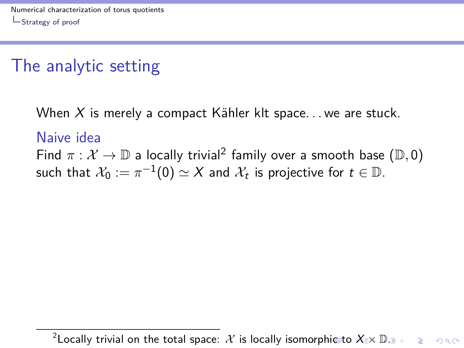<span id="page-38-0"></span>When X is merely a compact Kähler klt space... we are stuck.

#### Naive idea

Find  $\pi: \mathcal{X} \to \mathbb{D}$  a locally trivial<sup>2</sup> family over a smooth base  $(\mathbb{D}, 0)$ such that  $\mathcal{X}_0 := \pi^{-1}(0) \simeq X$  and  $\mathcal{X}_t$  is projective for  $t \in \mathbb{D}.$ 

 $^2$ Lo[c](#page-37-0)ally [t](#page-40-0)rivial [o](#page-41-0)n the total space:  $\mathcal X$  $\mathcal X$  is locally is[om](#page-37-0)o[rp](#page-39-0)[hi](#page-36-0)c to  $\mathsf X_{\mathbb R}\mathsf{\times}\mathbb D.$  $\mathsf X_{\mathbb R}\mathsf{\times}\mathbb D.$  $\mathsf X_{\mathbb R}\mathsf{\times}\mathbb D.$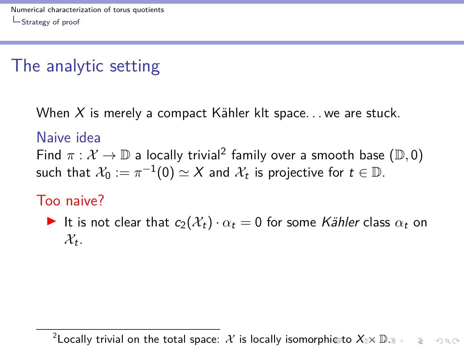<span id="page-39-0"></span>When X is merely a compact Kähler klt space... we are stuck.

#### Naive idea

Find  $\pi: \mathcal{X} \to \mathbb{D}$  a locally trivial<sup>2</sup> family over a smooth base  $(\mathbb{D}, 0)$ such that  $\mathcal{X}_0 := \pi^{-1}(0) \simeq X$  and  $\mathcal{X}_t$  is projective for  $t \in \mathbb{D}.$ 

#### Too naive?

It is not clear that  $c_2(\mathcal{X}_t) \cdot \alpha_t = 0$  for some Kähler class  $\alpha_t$  on  $\mathcal{X}_t$ .

 $^2$ Lo[c](#page-37-0)ally [t](#page-40-0)rivial [o](#page-41-0)n the total space:  $\mathcal X$  $\mathcal X$  is locally is[om](#page-38-0)o[rp](#page-40-0)[hi](#page-36-0)c to  $\mathsf X_{\mathbb R}\mathsf{\times}\mathbb D.$  $\mathsf X_{\mathbb R}\mathsf{\times}\mathbb D.$  $\mathsf X_{\mathbb R}\mathsf{\times}\mathbb D.$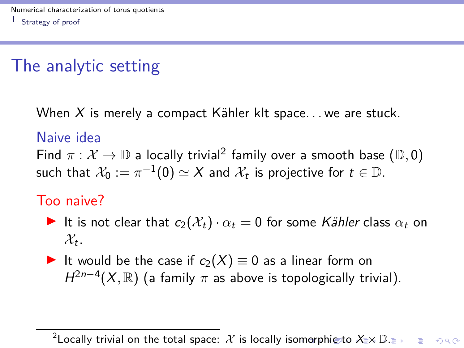<span id="page-40-0"></span>When X is merely a compact Kähler klt space... we are stuck.

#### Naive idea

Find  $\pi: \mathcal{X} \to \mathbb{D}$  a locally trivial<sup>2</sup> family over a smooth base  $(\mathbb{D}, 0)$ such that  $\mathcal{X}_0 := \pi^{-1}(0) \simeq X$  and  $\mathcal{X}_t$  is projective for  $t \in \mathbb{D}.$ 

#### Too naive?

- It is not clear that  $c_2(\mathcal{X}_t) \cdot \alpha_t = 0$  for some Kähler class  $\alpha_t$  on  $\mathcal{X}_t$ .
- It would be the case if  $c_2(X) \equiv 0$  as a linear form on  $H^{2n-4}(X,\mathbb{R})$  (a family  $\pi$  as above is topologically trivial).

 $^2$ Lo[c](#page-37-0)ally [t](#page-40-0)rivial [o](#page-41-0)n the total space:  $\mathcal X$  $\mathcal X$  is locally is[om](#page-39-0)o[rp](#page-41-0)[hi](#page-36-0)c to  $\mathsf X_{\mathbb R}\mathsf{\times}\mathbb D.$  $\mathsf X_{\mathbb R}\mathsf{\times}\mathbb D.$  $\mathsf X_{\mathbb R}\mathsf{\times}\mathbb D.$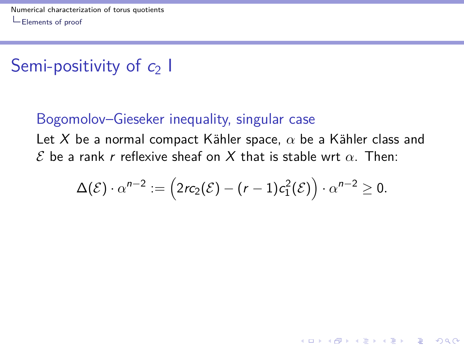# <span id="page-41-0"></span>Semi-positivity of  $c_2$  I

#### Bogomolov–Gieseker inequality, singular case

Let X be a normal compact Kähler space,  $\alpha$  be a Kähler class and  $\mathcal E$  be a rank r reflexive sheaf on X that is stable wrt  $\alpha$ . Then:

$$
\Delta(\mathcal{E})\cdot \alpha^{n-2}:=\left(2rc_2(\mathcal{E})-(r-1)c_1^2(\mathcal{E})\right)\cdot \alpha^{n-2}\geq 0.
$$

**KORK ERKER ADAM ADA**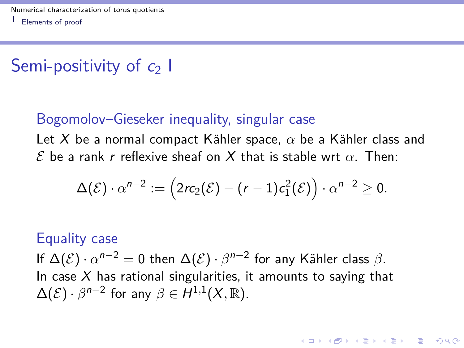# <span id="page-42-0"></span>Semi-positivity of  $c_2$  I

#### Bogomolov–Gieseker inequality, singular case

Let X be a normal compact Kähler space,  $\alpha$  be a Kähler class and  $\mathcal E$  be a rank r reflexive sheaf on X that is stable wrt  $\alpha$ . Then:

$$
\Delta(\mathcal{E})\cdot \alpha^{n-2}:=\left(2rc_2(\mathcal{E})-(r-1)c_1^2(\mathcal{E})\right)\cdot \alpha^{n-2}\geq 0.
$$

#### Equality case

If  $\Delta(\mathcal{E}) \cdot \alpha^{n-2} = 0$  then  $\Delta(\mathcal{E}) \cdot \beta^{n-2}$  for any Kähler class  $\beta$ . In case X has rational singularities, it amounts to saying that  $\Delta(\mathcal{E}) \cdot \beta^{n-2}$  for any  $\beta \in H^{1,1}(X,\mathbb{R})$ .

**KORKAR KERKER SAGA**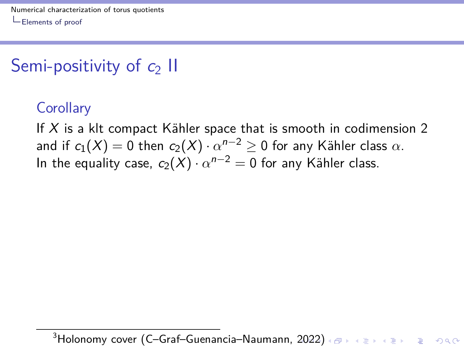# <span id="page-43-0"></span>Semi-positivity of  $c_2$  II

### **Corollary**

If X is a klt compact Kähler space that is smooth in codimension 2 and if  $c_1(X)=0$  then  $c_2(X)\cdot \alpha^{n-2}\geq 0$  for any Kähler class  $\alpha.$ In the equality case,  $c_2(X) \cdot \alpha^{n-2} = 0$  for any Kähler class.

3Holonomy cover (C-Graf-Guenancia–Naumann, [20](#page-42-0)2[2\)](#page-44-0) < B > < B > < B > B < 990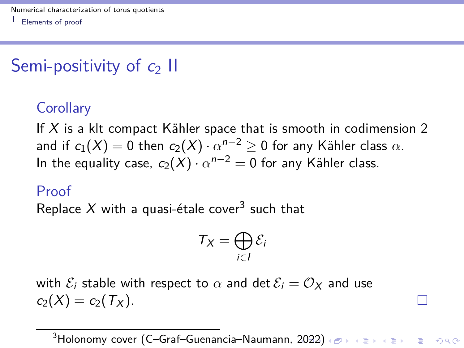# <span id="page-44-0"></span>Semi-positivity of  $c_2$  II

### **Corollary**

If X is a klt compact Kähler space that is smooth in codimension 2 and if  $c_1(X)=0$  then  $c_2(X)\cdot \alpha^{n-2}\geq 0$  for any Kähler class  $\alpha.$ In the equality case,  $c_2(X) \cdot \alpha^{n-2} = 0$  for any Kähler class.

#### Proof

Replace  $X$  with a quasi-étale cover $^3$  such that

$$
T_X = \bigoplus_{i \in I} \mathcal{E}_i
$$

with  $\mathcal{E}_i$  stable with respect to  $\alpha$  and det  $\mathcal{E}_i = \mathcal{O}_X$  and use  $c_2(X) = c_2(T_X)$ .

3Holonomy cover (C-Graf-Guenancia–Naumann, [20](#page-43-0)2[2\)](#page-45-0) < B > < B > < B > B < 990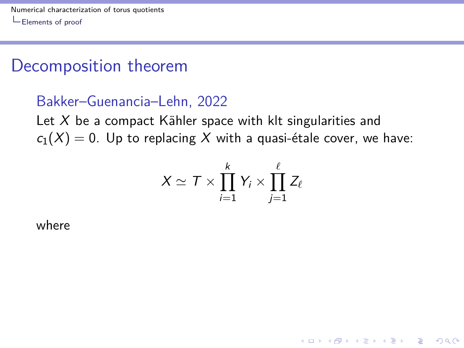### <span id="page-45-0"></span>Decomposition theorem

#### Bakker–Guenancia–Lehn, 2022

Let  $X$  be a compact Kähler space with klt singularities and  $c_1(X) = 0$ . Up to replacing X with a quasi-étale cover, we have:

$$
X \simeq T \times \prod_{i=1}^k Y_i \times \prod_{j=1}^\ell Z_\ell
$$

**KORKARYKERKER OQO** 

where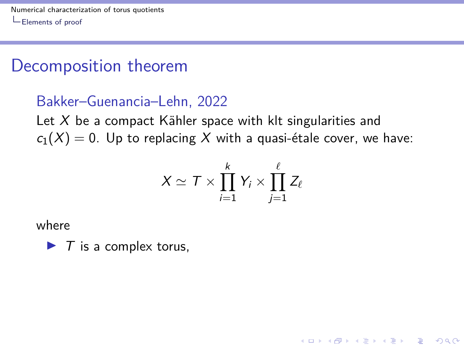### Decomposition theorem

#### Bakker–Guenancia–Lehn, 2022

Let  $X$  be a compact Kähler space with klt singularities and  $c_1(X) = 0$ . Up to replacing X with a quasi-étale cover, we have:

$$
X \simeq T \times \prod_{i=1}^k Y_i \times \prod_{j=1}^\ell Z_\ell
$$

**KORKARYKERKER OQO** 

where

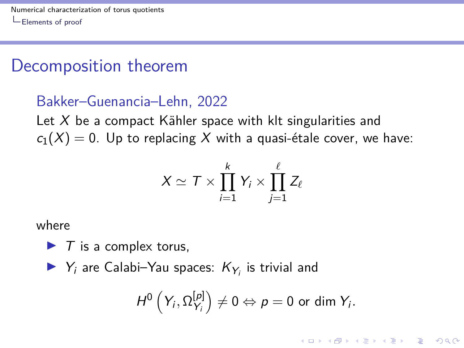### Decomposition theorem

#### Bakker–Guenancia–Lehn, 2022

Let  $X$  be a compact Kähler space with klt singularities and  $c_1(X) = 0$ . Up to replacing X with a quasi-étale cover, we have:

$$
X \simeq T \times \prod_{i=1}^k Y_i \times \prod_{j=1}^\ell Z_\ell
$$

where

- $\blacktriangleright$  T is a complex torus,
- $\blacktriangleright$   $Y_i$  are Calabi–Yau spaces:  $K_{Y_i}$  is trivial and

$$
H^0\left(Y_i,\Omega_{Y_i}^{[p]}\right)\neq 0 \Leftrightarrow p=0 \text{ or dim } Y_i.
$$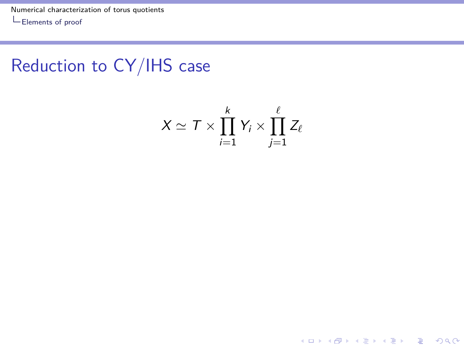[Numerical characterization of torus quotients](#page-0-0)

 $\mathrel{\mathop{\rule{0pt}{\text{\rule{0pt}{1.5}}}}\mathrel{\mathop{\mathsf{Elements}}}}$  of proof

### Reduction to CY/IHS case

$$
X \simeq T \times \prod_{i=1}^k Y_i \times \prod_{j=1}^\ell Z_\ell
$$

K ロ ▶ K @ ▶ K 할 ▶ K 할 ▶ . 할 . ⊙ Q Q ^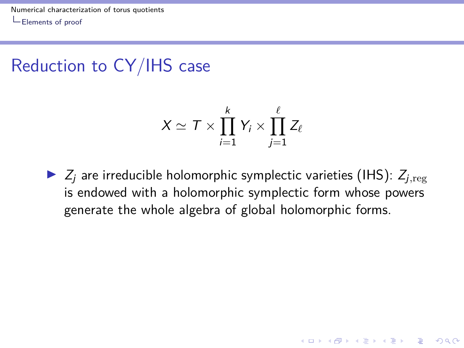[Numerical characterization of torus quotients](#page-0-0) [Elements of proof](#page-41-0)

### Reduction to CY/IHS case

$$
X \simeq T \times \prod_{i=1}^k Y_i \times \prod_{j=1}^\ell Z_\ell
$$

 $\triangleright$   $Z_i$  are irreducible holomorphic symplectic varieties (IHS):  $Z_{i,\text{reg}}$ is endowed with a holomorphic symplectic form whose powers generate the whole algebra of global holomorphic forms.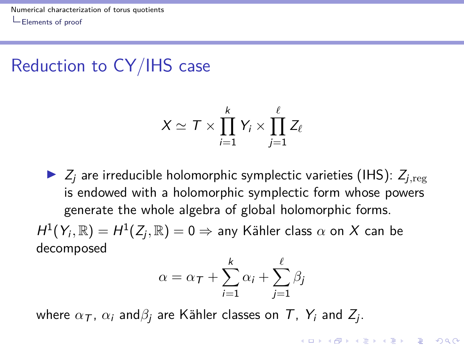### Reduction to CY/IHS case

$$
X \simeq T \times \prod_{i=1}^k Y_i \times \prod_{j=1}^\ell Z_\ell
$$

 $\triangleright$   $Z_i$  are irreducible holomorphic symplectic varieties (IHS):  $Z_{i,\text{reg}}$ is endowed with a holomorphic symplectic form whose powers generate the whole algebra of global holomorphic forms.

 $H^1(Y_i,\mathbb{R})=H^1(Z_j,\mathbb{R})=0 \Rightarrow$  any Kähler class  $\alpha$  on  $X$  can be decomposed

$$
\alpha = \alpha_T + \sum_{i=1}^k \alpha_i + \sum_{j=1}^\ell \beta_j
$$

where  $\alpha_{\mathcal{T}}$ ,  $\alpha_i$  and $\beta_j$  are Kähler classes on  $\mathcal{T}$ ,  $\mathcal{Y}_i$  and  $Z_j$ .

**KORKAR KERKER SAGA**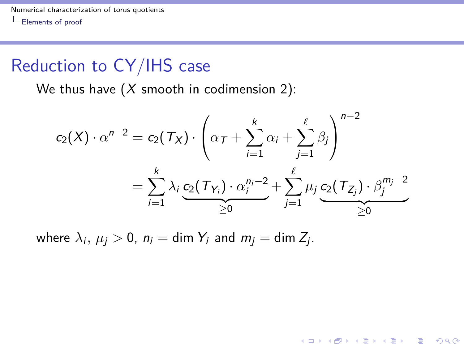[Numerical characterization of torus quotients](#page-0-0) [Elements of proof](#page-41-0)

### Reduction to CY/IHS case

We thus have  $(X \text{ smooth in codimension 2})$ :

$$
c_2(X) \cdot \alpha^{n-2} = c_2(\mathcal{T}_X) \cdot \left( \alpha_{\mathcal{T}} + \sum_{i=1}^k \alpha_i + \sum_{j=1}^\ell \beta_j \right)^{n-2}
$$
  
= 
$$
\sum_{i=1}^k \lambda_i \underbrace{c_2(\mathcal{T}_{Y_i}) \cdot \alpha_i^{n_i-2}}_{\geq 0} + \sum_{j=1}^\ell \mu_j \underbrace{c_2(\mathcal{T}_{Z_j}) \cdot \beta_j^{m_j-2}}_{\geq 0}
$$

KO K K Ø K K E K K E K V K K K K K K K K K

where  $\lambda_i,\,\mu_j>0,\,n_i=\text{dim }Y_i$  and  $m_j=\text{dim }Z_j.$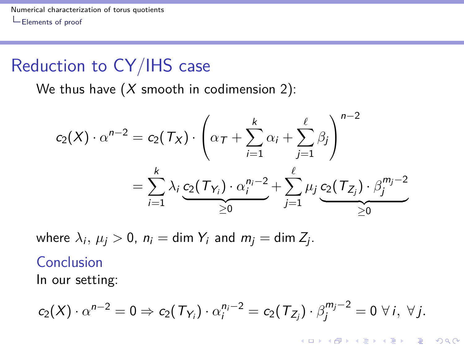### Reduction to CY/IHS case

We thus have  $(X \text{ smooth in codimension 2})$ :

$$
c_2(X) \cdot \alpha^{n-2} = c_2(\mathcal{T}_X) \cdot \left( \alpha_{\mathcal{T}} + \sum_{i=1}^k \alpha_i + \sum_{j=1}^\ell \beta_j \right)^{n-2}
$$
  
= 
$$
\sum_{i=1}^k \lambda_i \underbrace{c_2(\mathcal{T}_{Y_i}) \cdot \alpha_i^{n_i-2}}_{\geq 0} + \sum_{j=1}^\ell \mu_j \underbrace{c_2(\mathcal{T}_{Z_j}) \cdot \beta_j^{m_j-2}}_{\geq 0}
$$

where  $\lambda_i,\,\mu_j>0,\,n_i=\text{dim }Y_i$  and  $m_j=\text{dim }Z_j.$ 

#### Conclusion

In our setting:

$$
c_2(X)\cdot \alpha^{n-2}=0\Rightarrow c_2(\mathcal{T}_{Y_i})\cdot \alpha_i^{n_i-2}=c_2(\mathcal{T}_{Z_j})\cdot \beta_j^{m_j-2}=0\;\forall\,i,\;\forall j.
$$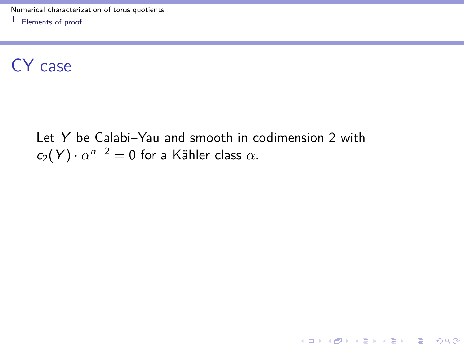### CY case

Let Y be Calabi–Yau and smooth in codimension 2 with  $c_2(Y) \cdot \alpha^{n-2} = 0$  for a Kähler class  $\alpha$ .

KO K K Ø K K E K K E K V K K K K K K K K K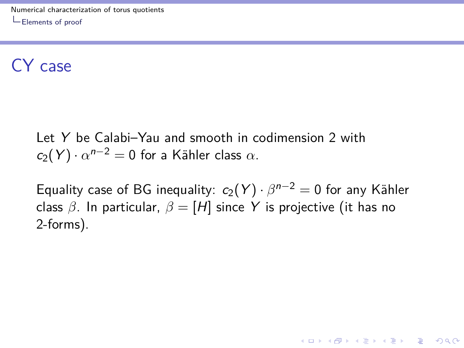### CY case

Let Y be Calabi–Yau and smooth in codimension 2 with  $c_2(Y) \cdot \alpha^{n-2} = 0$  for a Kähler class  $\alpha$ .

Equality case of BG inequality:  $c_2(Y) \cdot \beta^{n-2} = 0$  for any Kähler class  $\beta$ . In particular,  $\beta = [H]$  since Y is projective (it has no 2-forms).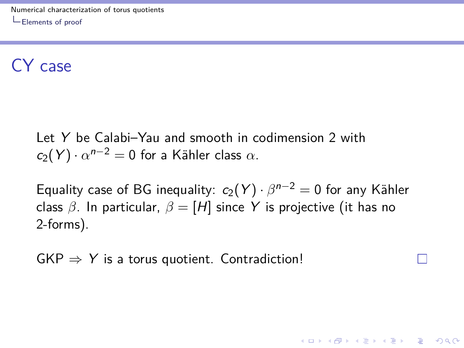### CY case

Let Y be Calabi–Yau and smooth in codimension 2 with  $c_2(Y) \cdot \alpha^{n-2} = 0$  for a Kähler class  $\alpha$ .

Equality case of BG inequality:  $c_2(Y) \cdot \beta^{n-2} = 0$  for any Kähler class  $\beta$ . In particular,  $\beta = [H]$  since Y is projective (it has no 2-forms).

**KORKAR KERKER SAGA** 

 $GKP \Rightarrow Y$  is a torus quotient. Contradiction!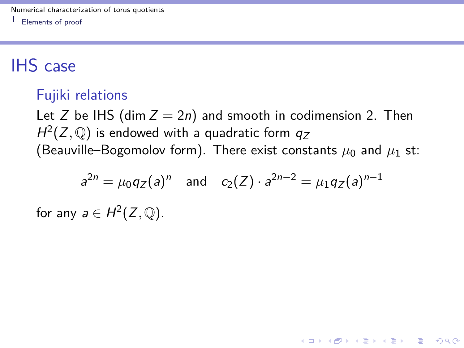# IHS case

#### Fujiki relations

Let Z be IHS (dim  $Z = 2n$ ) and smooth in codimension 2. Then  $H^2(Z,\mathbb{Q})$  is endowed with a quadratic form  $q_Z$ (Beauville–Bogomolov form). There exist constants  $\mu_0$  and  $\mu_1$  st:

$$
a^{2n} = \mu_0 q_Z(a)^n
$$
 and  $c_2(Z) \cdot a^{2n-2} = \mu_1 q_Z(a)^{n-1}$ 

**KORKAR KERKER SAGA** 

for any  $a \in H^2(Z, \mathbb{Q})$ .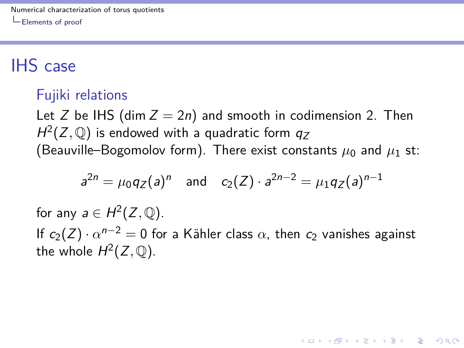# IHS case

#### Fujiki relations

Let Z be IHS (dim  $Z = 2n$ ) and smooth in codimension 2. Then  $H^2(Z,\mathbb{Q})$  is endowed with a quadratic form  $q_Z$ (Beauville–Bogomolov form). There exist constants  $\mu_0$  and  $\mu_1$  st:

$$
a^{2n} = \mu_0 q_Z(a)^n
$$
 and  $c_2(Z) \cdot a^{2n-2} = \mu_1 q_Z(a)^{n-1}$ 

for any  $a \in H^2(Z, \mathbb{Q})$ . If  $c_2(Z) \cdot \alpha^{n-2} = 0$  for a Kähler class  $\alpha$ , then  $c_2$  vanishes against the whole  $H^2(Z, \mathbb{Q})$ .

**KORKAR KERKER SAGA**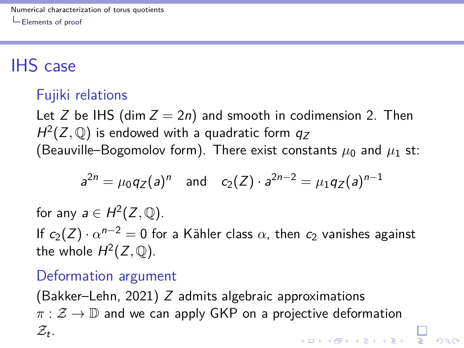# IHS case

### Fujiki relations

Let Z be IHS (dim  $Z = 2n$ ) and smooth in codimension 2. Then  $H^2(Z,\mathbb{Q})$  is endowed with a quadratic form  $q_Z$ (Beauville–Bogomolov form). There exist constants  $\mu_0$  and  $\mu_1$  st:

$$
a^{2n} = \mu_0 q_Z(a)^n
$$
 and  $c_2(Z) \cdot a^{2n-2} = \mu_1 q_Z(a)^{n-1}$ 

for any  $a \in H^2(Z, \mathbb{Q})$ . If  $c_2(Z) \cdot \alpha^{n-2} = 0$  for a Kähler class  $\alpha$ , then  $c_2$  vanishes against the whole  $H^2(Z, \mathbb{Q})$ .

#### Deformation argument

(Bakker–Lehn, 2021) Z admits algebraic approximations  $\pi : \mathcal{Z} \to \mathbb{D}$  and we can apply GKP on a projective deformation  $\mathcal{Z}_t$ . ▐▁▌<br>▕▜▏▏▗▐▁▖▗▐▁▖▗▐▁▖▗▐▁▖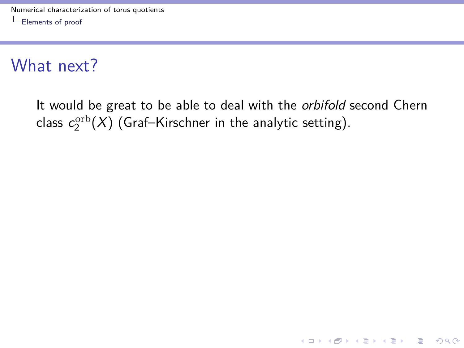It would be great to be able to deal with the *orbifold* second Chern class  $c_2^{\rm orb}(X)$  (Graf–Kirschner in the analytic setting).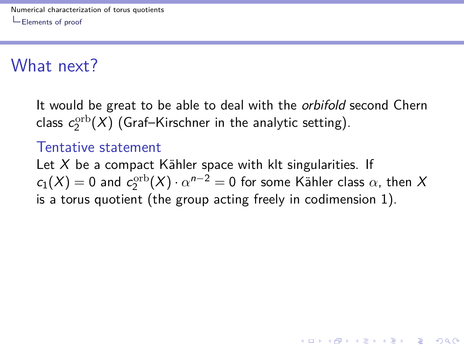It would be great to be able to deal with the *orbifold* second Chern class  $c_2^{\rm orb}(X)$  (Graf–Kirschner in the analytic setting).

#### Tentative statement

Let  $X$  be a compact Kähler space with klt singularities. If  $c_1(X) = 0$  and  $c_2^{\text{orb}}(X) \cdot \alpha^{n-2} = 0$  for some Kähler class  $\alpha$ , then X is a torus quotient (the group acting freely in codimension 1).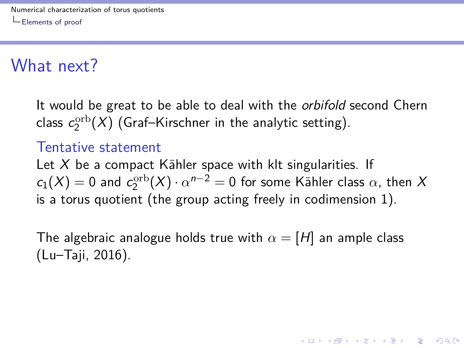It would be great to be able to deal with the *orbifold* second Chern class  $c_2^{\rm orb}(X)$  (Graf–Kirschner in the analytic setting).

#### Tentative statement

Let  $X$  be a compact Kähler space with klt singularities. If  $c_1(X) = 0$  and  $c_2^{\text{orb}}(X) \cdot \alpha^{n-2} = 0$  for some Kähler class  $\alpha$ , then X is a torus quotient (the group acting freely in codimension 1).

The algebraic analogue holds true with  $\alpha = [H]$  an ample class (Lu–Taji, 2016).

**KORKAR KERKER SAGA**